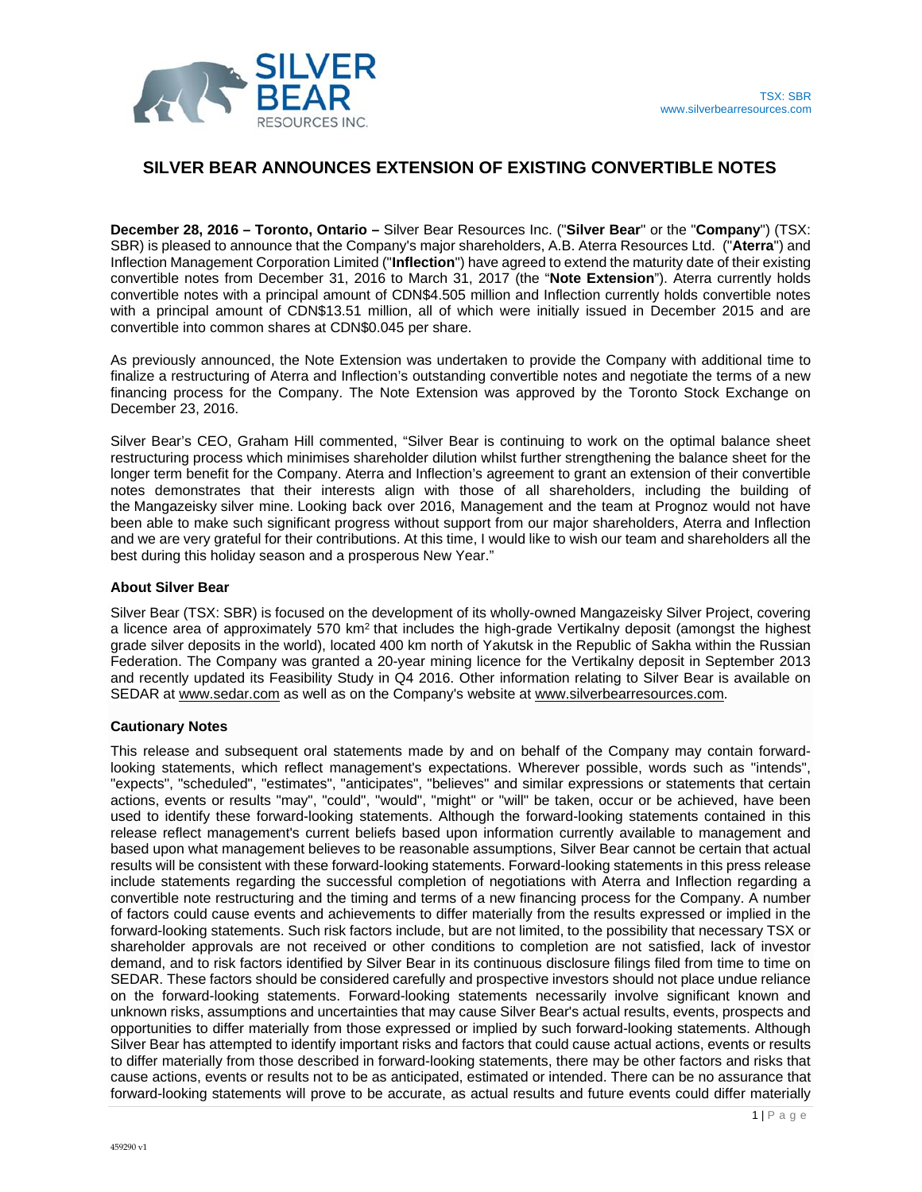

## **SILVER BEAR ANNOUNCES EXTENSION OF EXISTING CONVERTIBLE NOTES**

**December 28, 2016 – Toronto, Ontario –** Silver Bear Resources Inc. ("**Silver Bear**" or the "**Company**") (TSX: SBR) is pleased to announce that the Company's major shareholders, A.B. Aterra Resources Ltd. ("**Aterra**") and Inflection Management Corporation Limited ("**Inflection**") have agreed to extend the maturity date of their existing convertible notes from December 31, 2016 to March 31, 2017 (the "**Note Extension**"). Aterra currently holds convertible notes with a principal amount of CDN\$4.505 million and Inflection currently holds convertible notes with a principal amount of CDN\$13.51 million, all of which were initially issued in December 2015 and are convertible into common shares at CDN\$0.045 per share.

As previously announced, the Note Extension was undertaken to provide the Company with additional time to finalize a restructuring of Aterra and Inflection's outstanding convertible notes and negotiate the terms of a new financing process for the Company. The Note Extension was approved by the Toronto Stock Exchange on December 23, 2016.

Silver Bear's CEO, Graham Hill commented, "Silver Bear is continuing to work on the optimal balance sheet restructuring process which minimises shareholder dilution whilst further strengthening the balance sheet for the longer term benefit for the Company. Aterra and Inflection's agreement to grant an extension of their convertible notes demonstrates that their interests align with those of all shareholders, including the building of the Mangazeisky silver mine. Looking back over 2016, Management and the team at Prognoz would not have been able to make such significant progress without support from our major shareholders, Aterra and Inflection and we are very grateful for their contributions. At this time, I would like to wish our team and shareholders all the best during this holiday season and a prosperous New Year."

## **About Silver Bear**

Silver Bear (TSX: SBR) is focused on the development of its wholly-owned Mangazeisky Silver Project, covering a licence area of approximately 570 km2 that includes the high-grade Vertikalny deposit (amongst the highest grade silver deposits in the world), located 400 km north of Yakutsk in the Republic of Sakha within the Russian Federation. The Company was granted a 20-year mining licence for the Vertikalny deposit in September 2013 and recently updated its Feasibility Study in Q4 2016. Other information relating to Silver Bear is available on SEDAR at www.sedar.com as well as on the Company's website at www.silverbearresources.com.

## **Cautionary Notes**

This release and subsequent oral statements made by and on behalf of the Company may contain forwardlooking statements, which reflect management's expectations. Wherever possible, words such as "intends", "expects", "scheduled", "estimates", "anticipates", "believes" and similar expressions or statements that certain actions, events or results "may", "could", "would", "might" or "will" be taken, occur or be achieved, have been used to identify these forward-looking statements. Although the forward-looking statements contained in this release reflect management's current beliefs based upon information currently available to management and based upon what management believes to be reasonable assumptions, Silver Bear cannot be certain that actual results will be consistent with these forward-looking statements. Forward-looking statements in this press release include statements regarding the successful completion of negotiations with Aterra and Inflection regarding a convertible note restructuring and the timing and terms of a new financing process for the Company. A number of factors could cause events and achievements to differ materially from the results expressed or implied in the forward-looking statements. Such risk factors include, but are not limited, to the possibility that necessary TSX or shareholder approvals are not received or other conditions to completion are not satisfied, lack of investor demand, and to risk factors identified by Silver Bear in its continuous disclosure filings filed from time to time on SEDAR. These factors should be considered carefully and prospective investors should not place undue reliance on the forward-looking statements. Forward-looking statements necessarily involve significant known and unknown risks, assumptions and uncertainties that may cause Silver Bear's actual results, events, prospects and opportunities to differ materially from those expressed or implied by such forward-looking statements. Although Silver Bear has attempted to identify important risks and factors that could cause actual actions, events or results to differ materially from those described in forward-looking statements, there may be other factors and risks that cause actions, events or results not to be as anticipated, estimated or intended. There can be no assurance that forward-looking statements will prove to be accurate, as actual results and future events could differ materially